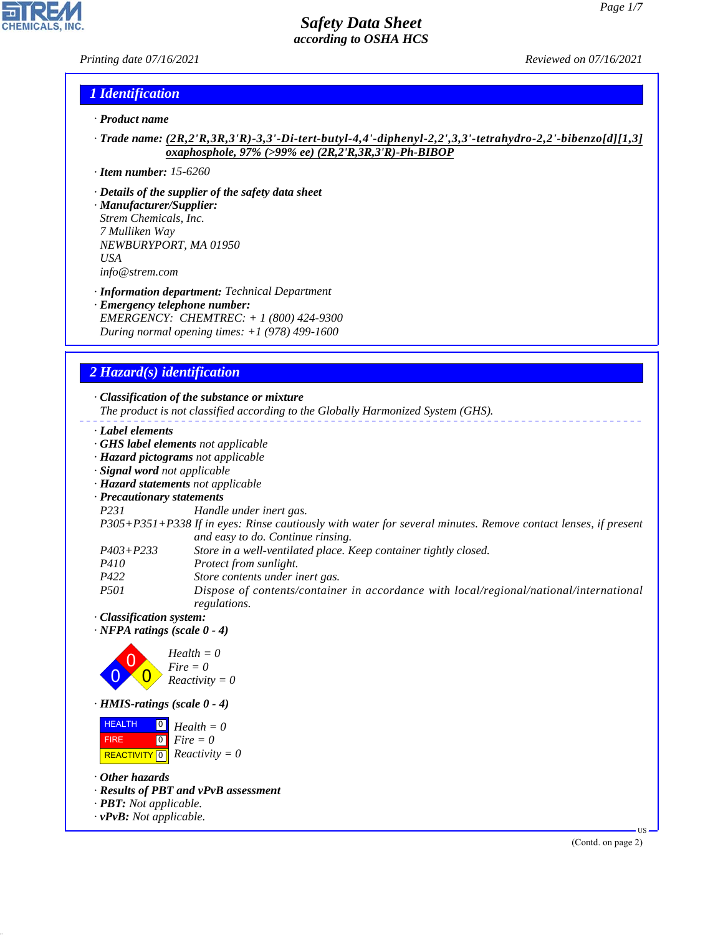*Printing date 07/16/2021 Reviewed on 07/16/2021*

## *1 Identification*

- *· Product name*
- *· Trade name: (2R,2'R,3R,3'R)-3,3'-Di-tert-butyl-4,4'-diphenyl-2,2',3,3'-tetrahydro-2,2'-bibenzo[d][1,3] oxaphosphole, 97% (>99% ee) (2R,2'R,3R,3'R)-Ph-BIBOP*
- *· Item number: 15-6260*
- *· Details of the supplier of the safety data sheet*
- *· Manufacturer/Supplier: Strem Chemicals, Inc. 7 Mulliken Way NEWBURYPORT, MA 01950 USA info@strem.com*
- *· Information department: Technical Department*
- *· Emergency telephone number: EMERGENCY: CHEMTREC: + 1 (800) 424-9300 During normal opening times: +1 (978) 499-1600*

# *2 Hazard(s) identification*

*· Classification of the substance or mixture*

*The product is not classified according to the Globally Harmonized System (GHS).*

- *· Label elements*
- *· GHS label elements not applicable*
- *· Hazard pictograms not applicable*
- *· Signal word not applicable*
- *· Hazard statements not applicable*
- *· Precautionary statements*
- 

*P231 Handle under inert gas.*

### *P305+P351+P338 If in eyes: Rinse cautiously with water for several minutes. Remove contact lenses, if present and easy to do. Continue rinsing.*

*P403+P233 Store in a well-ventilated place. Keep container tightly closed.*

*P410 Protect from sunlight.*

- *P422 Store contents under inert gas.*
- *P501 Dispose of contents/container in accordance with local/regional/national/international regulations.*
- *· Classification system:*
- *· NFPA ratings (scale 0 4)*



*· HMIS-ratings (scale 0 - 4)*

**HEALTH**  FIRE  $\boxed{\text{REACTIVITY} \boxed{0}}$  Reactivity = 0  $\overline{0}$  $\boxed{0}$ *Health = 0 Fire = 0*

*· Other hazards*

44.1.1

- *· Results of PBT and vPvB assessment*
- *· PBT: Not applicable.*
- *· vPvB: Not applicable.*

(Contd. on page 2)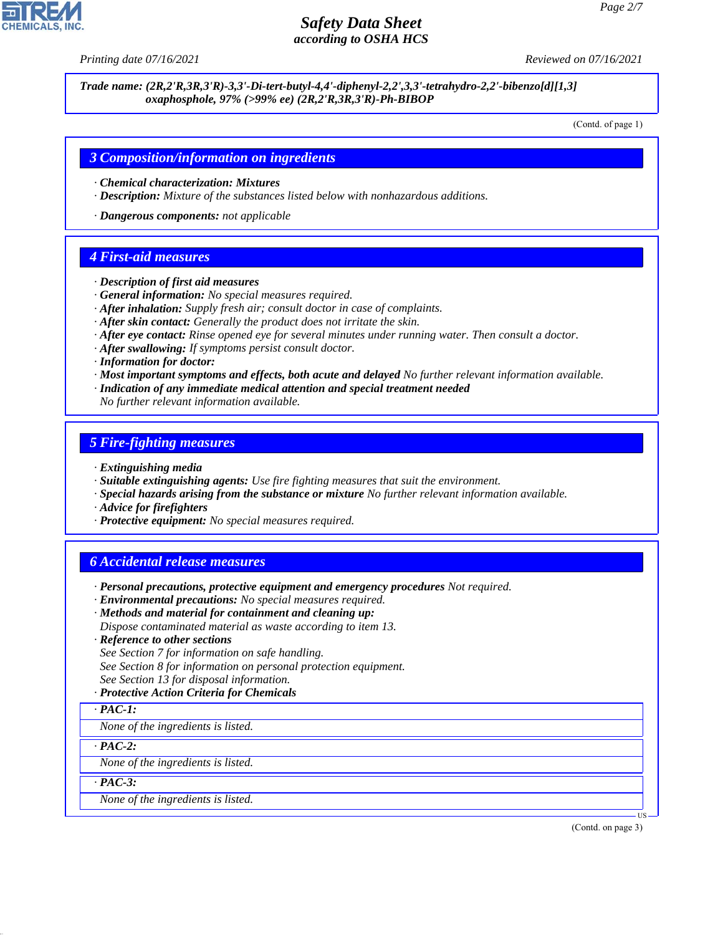*Printing date 07/16/2021 Reviewed on 07/16/2021*

*Trade name: (2R,2'R,3R,3'R)-3,3'-Di-tert-butyl-4,4'-diphenyl-2,2',3,3'-tetrahydro-2,2'-bibenzo[d][1,3] oxaphosphole, 97% (>99% ee) (2R,2'R,3R,3'R)-Ph-BIBOP*

(Contd. of page 1)

### *3 Composition/information on ingredients*

- *· Chemical characterization: Mixtures*
- *· Description: Mixture of the substances listed below with nonhazardous additions.*

*· Dangerous components: not applicable*

### *4 First-aid measures*

- *· Description of first aid measures*
- *· General information: No special measures required.*
- *· After inhalation: Supply fresh air; consult doctor in case of complaints.*
- *· After skin contact: Generally the product does not irritate the skin.*
- *· After eye contact: Rinse opened eye for several minutes under running water. Then consult a doctor.*
- *· After swallowing: If symptoms persist consult doctor.*
- *· Information for doctor:*
- *· Most important symptoms and effects, both acute and delayed No further relevant information available.*
- *· Indication of any immediate medical attention and special treatment needed*
- *No further relevant information available.*

### *5 Fire-fighting measures*

- *· Extinguishing media*
- *· Suitable extinguishing agents: Use fire fighting measures that suit the environment.*
- *· Special hazards arising from the substance or mixture No further relevant information available.*
- *· Advice for firefighters*
- *· Protective equipment: No special measures required.*

### *6 Accidental release measures*

- *· Personal precautions, protective equipment and emergency procedures Not required.*
- *· Environmental precautions: No special measures required.*
- *· Methods and material for containment and cleaning up:*
- *Dispose contaminated material as waste according to item 13.*
- *· Reference to other sections*
- *See Section 7 for information on safe handling.*
- *See Section 8 for information on personal protection equipment.*
- *See Section 13 for disposal information.*
- *· Protective Action Criteria for Chemicals*

### *· PAC-1:*

*None of the ingredients is listed.*

### *· PAC-2:*

*None of the ingredients is listed.*

*· PAC-3:*

44.1.1

*None of the ingredients is listed.*

(Contd. on page 3)

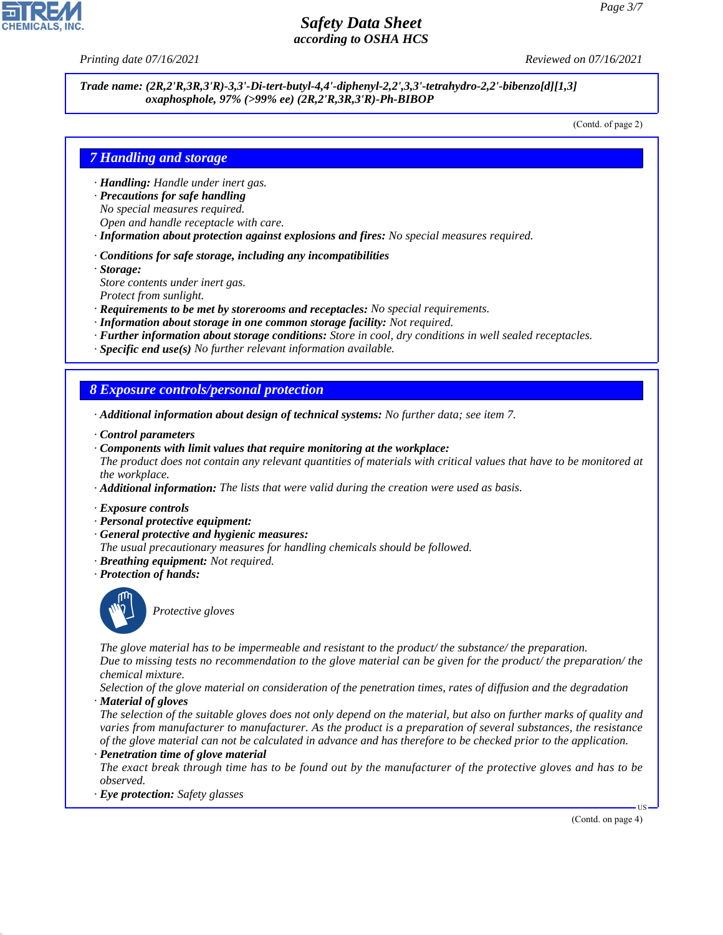*Printing date 07/16/2021 Reviewed on 07/16/2021*

*Trade name: (2R,2'R,3R,3'R)-3,3'-Di-tert-butyl-4,4'-diphenyl-2,2',3,3'-tetrahydro-2,2'-bibenzo[d][1,3] oxaphosphole, 97% (>99% ee) (2R,2'R,3R,3'R)-Ph-BIBOP*

(Contd. of page 2)

## *7 Handling and storage*

- *· Handling: Handle under inert gas.*
- *· Precautions for safe handling No special measures required.*
- *Open and handle receptacle with care.*
- *· Information about protection against explosions and fires: No special measures required.*
- *· Conditions for safe storage, including any incompatibilities*
- *· Storage:*
- *Store contents under inert gas.*
- *Protect from sunlight.*
- *· Requirements to be met by storerooms and receptacles: No special requirements.*
- *· Information about storage in one common storage facility: Not required.*
- *· Further information about storage conditions: Store in cool, dry conditions in well sealed receptacles.*
- *· Specific end use(s) No further relevant information available.*

### *8 Exposure controls/personal protection*

- *· Additional information about design of technical systems: No further data; see item 7.*
- *· Control parameters*
- *· Components with limit values that require monitoring at the workplace:*
- *The product does not contain any relevant quantities of materials with critical values that have to be monitored at the workplace.*
- *· Additional information: The lists that were valid during the creation were used as basis.*
- *· Exposure controls*
- *· Personal protective equipment:*
- *· General protective and hygienic measures:*
- *The usual precautionary measures for handling chemicals should be followed.*
- *· Breathing equipment: Not required.*
- *· Protection of hands:*



44.1.1

\_S*Protective gloves*

*The glove material has to be impermeable and resistant to the product/ the substance/ the preparation.*

*Due to missing tests no recommendation to the glove material can be given for the product/ the preparation/ the chemical mixture.*

*Selection of the glove material on consideration of the penetration times, rates of diffusion and the degradation · Material of gloves*

*The selection of the suitable gloves does not only depend on the material, but also on further marks of quality and varies from manufacturer to manufacturer. As the product is a preparation of several substances, the resistance of the glove material can not be calculated in advance and has therefore to be checked prior to the application.*

*· Penetration time of glove material*

*The exact break through time has to be found out by the manufacturer of the protective gloves and has to be observed.*

*· Eye protection: Safety glasses*

(Contd. on page 4)

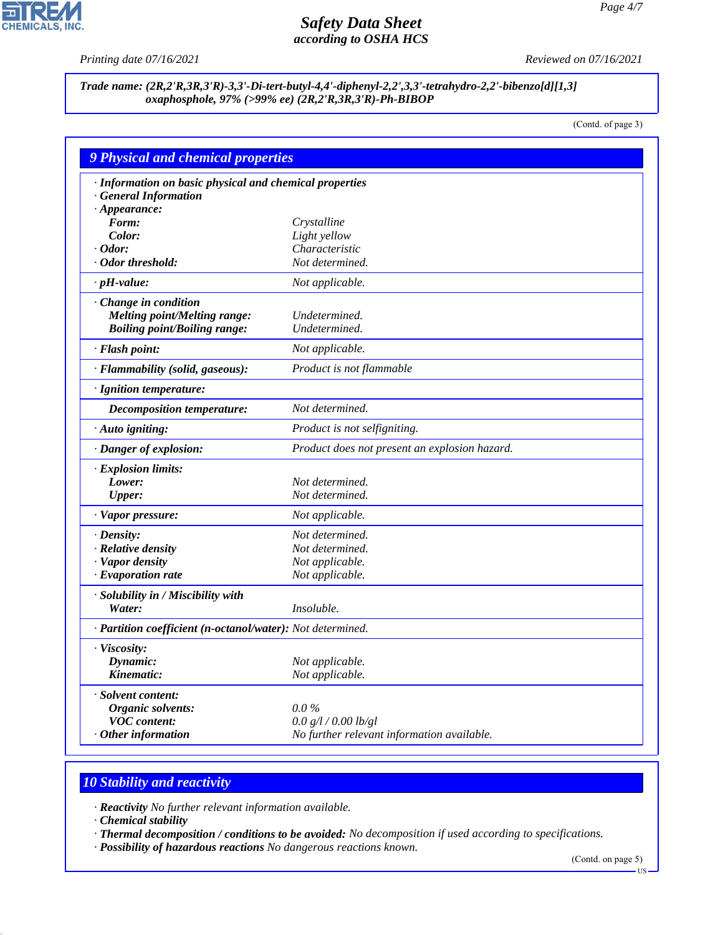P

**CHEMICALS, INC.** 

*Printing date 07/16/2021 Reviewed on 07/16/2021*

*Trade name: (2R,2'R,3R,3'R)-3,3'-Di-tert-butyl-4,4'-diphenyl-2,2',3,3'-tetrahydro-2,2'-bibenzo[d][1,3] oxaphosphole, 97% (>99% ee) (2R,2'R,3R,3'R)-Ph-BIBOP*

(Contd. of page 3)

| <b>9 Physical and chemical properties</b>                  |                                               |  |
|------------------------------------------------------------|-----------------------------------------------|--|
| · Information on basic physical and chemical properties    |                                               |  |
| · General Information                                      |                                               |  |
| $\cdot$ Appearance:                                        |                                               |  |
| Form:                                                      | Crystalline                                   |  |
| Color:                                                     | Light yellow                                  |  |
| $\cdot$ Odor:                                              | Characteristic                                |  |
| · Odor threshold:                                          | Not determined.                               |  |
| $\cdot$ pH-value:                                          | Not applicable.                               |  |
| · Change in condition                                      |                                               |  |
| Melting point/Melting range:                               | Undetermined.                                 |  |
| <b>Boiling point/Boiling range:</b>                        | Undetermined.                                 |  |
| · Flash point:                                             | Not applicable.                               |  |
| · Flammability (solid, gaseous):                           | Product is not flammable                      |  |
| · Ignition temperature:                                    |                                               |  |
| <b>Decomposition temperature:</b>                          | Not determined.                               |  |
| · Auto igniting:                                           | Product is not selfigniting.                  |  |
| · Danger of explosion:                                     | Product does not present an explosion hazard. |  |
| $\cdot$ Explosion limits:                                  |                                               |  |
| Lower:                                                     | Not determined.                               |  |
| <b>Upper:</b>                                              | Not determined.                               |  |
| · Vapor pressure:                                          | Not applicable.                               |  |
| $\cdot$ Density:                                           | Not determined.                               |  |
| · Relative density                                         | Not determined.                               |  |
| · Vapor density                                            | Not applicable.                               |  |
| $\cdot$ Evaporation rate                                   | Not applicable.                               |  |
| · Solubility in / Miscibility with                         |                                               |  |
| Water:                                                     | <i>Insoluble.</i>                             |  |
| · Partition coefficient (n-octanol/water): Not determined. |                                               |  |
| · Viscosity:                                               |                                               |  |
| Dynamic:                                                   | Not applicable.                               |  |
| Kinematic:                                                 | Not applicable.                               |  |
| · Solvent content:                                         |                                               |  |
| Organic solvents:                                          | $0.0\%$                                       |  |
| <b>VOC</b> content:                                        | 0.0 g/l / 0.00 lb/gl                          |  |
| $\cdot$ Other information                                  | No further relevant information available.    |  |

# *10 Stability and reactivity*

*· Reactivity No further relevant information available.*

*· Chemical stability*

44.1.1

*· Thermal decomposition / conditions to be avoided: No decomposition if used according to specifications.*

*· Possibility of hazardous reactions No dangerous reactions known.*

(Contd. on page 5)

US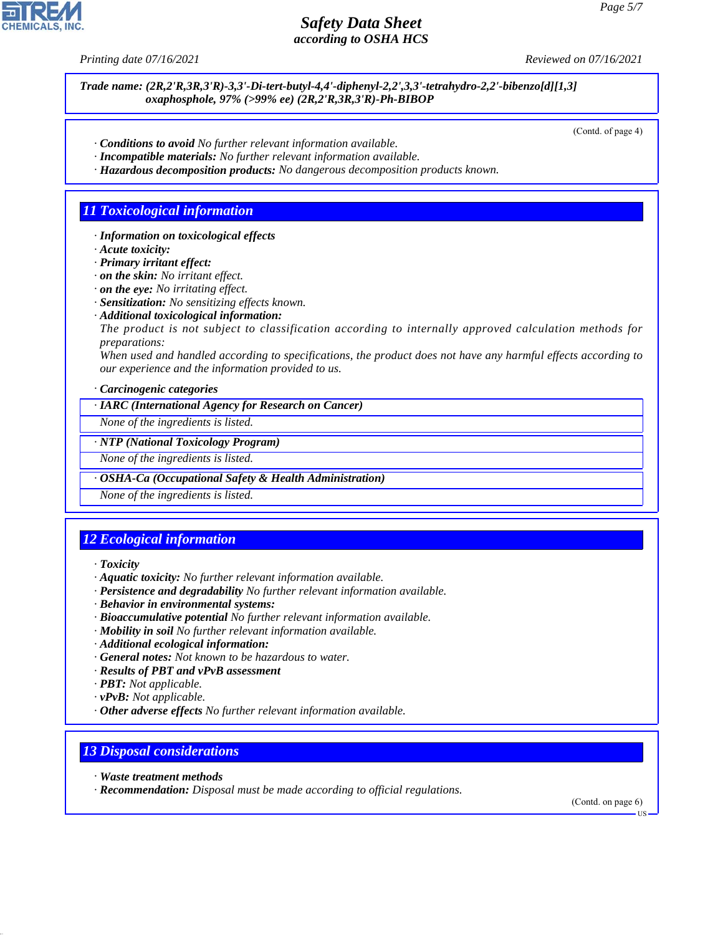

*Trade name: (2R,2'R,3R,3'R)-3,3'-Di-tert-butyl-4,4'-diphenyl-2,2',3,3'-tetrahydro-2,2'-bibenzo[d][1,3] oxaphosphole, 97% (>99% ee) (2R,2'R,3R,3'R)-Ph-BIBOP*

(Contd. of page 4)

- *· Conditions to avoid No further relevant information available.*
- *· Incompatible materials: No further relevant information available.*
- *· Hazardous decomposition products: No dangerous decomposition products known.*

### *11 Toxicological information*

- *· Information on toxicological effects*
- *· Acute toxicity:*
- *· Primary irritant effect:*
- *· on the skin: No irritant effect.*
- *· on the eye: No irritating effect.*
- *· Sensitization: No sensitizing effects known.*
- *· Additional toxicological information:*

*The product is not subject to classification according to internally approved calculation methods for preparations:*

*When used and handled according to specifications, the product does not have any harmful effects according to our experience and the information provided to us.*

*· Carcinogenic categories*

*· IARC (International Agency for Research on Cancer)*

*None of the ingredients is listed.*

### *· NTP (National Toxicology Program)*

*None of the ingredients is listed.*

### *· OSHA-Ca (Occupational Safety & Health Administration)*

*None of the ingredients is listed.*

# *12 Ecological information*

*· Toxicity*

- *· Aquatic toxicity: No further relevant information available.*
- *· Persistence and degradability No further relevant information available.*
- *· Behavior in environmental systems:*
- *· Bioaccumulative potential No further relevant information available.*
- *· Mobility in soil No further relevant information available.*
- *· Additional ecological information:*
- *· General notes: Not known to be hazardous to water.*
- *· Results of PBT and vPvB assessment*
- *· PBT: Not applicable.*
- *· vPvB: Not applicable.*
- *· Other adverse effects No further relevant information available.*

## *13 Disposal considerations*

*· Waste treatment methods*

44.1.1

*· Recommendation: Disposal must be made according to official regulations.*

(Contd. on page 6)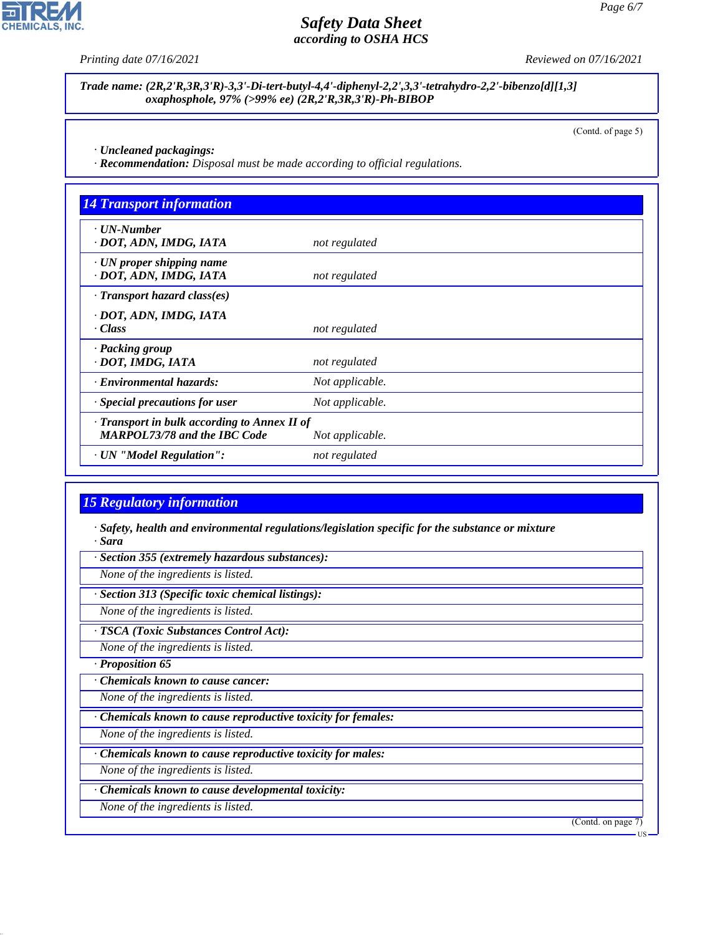

**CHEMICALS, INC.** 

*Trade name: (2R,2'R,3R,3'R)-3,3'-Di-tert-butyl-4,4'-diphenyl-2,2',3,3'-tetrahydro-2,2'-bibenzo[d][1,3] oxaphosphole, 97% (>99% ee) (2R,2'R,3R,3'R)-Ph-BIBOP*

(Contd. of page 5)

*· Uncleaned packagings:*

*· Recommendation: Disposal must be made according to official regulations.*

| <b>14 Transport information</b>                                                     |                 |  |
|-------------------------------------------------------------------------------------|-----------------|--|
| $\cdot$ UN-Number<br>· DOT, ADN, IMDG, IATA                                         | not regulated   |  |
| $\cdot$ UN proper shipping name<br>· DOT, ADN, IMDG, IATA                           | not regulated   |  |
| $\cdot$ Transport hazard class(es)                                                  |                 |  |
| · DOT, ADN, IMDG, IATA<br>· Class                                                   | not regulated   |  |
| · Packing group<br>· DOT, IMDG, IATA                                                | not regulated   |  |
| · Environmental hazards:                                                            | Not applicable. |  |
| · Special precautions for user                                                      | Not applicable. |  |
| · Transport in bulk according to Annex II of<br><b>MARPOL73/78 and the IBC Code</b> | Not applicable. |  |
| · UN "Model Regulation":                                                            | not regulated   |  |

## *15 Regulatory information*

*· Safety, health and environmental regulations/legislation specific for the substance or mixture · Sara*

*· Section 355 (extremely hazardous substances):*

*None of the ingredients is listed.*

*· Section 313 (Specific toxic chemical listings):*

*None of the ingredients is listed.*

*· TSCA (Toxic Substances Control Act):*

*None of the ingredients is listed.*

*· Proposition 65*

44.1.1

*· Chemicals known to cause cancer:*

*None of the ingredients is listed.*

*· Chemicals known to cause reproductive toxicity for females:*

*None of the ingredients is listed.*

*· Chemicals known to cause reproductive toxicity for males:*

*None of the ingredients is listed.*

*· Chemicals known to cause developmental toxicity:*

*None of the ingredients is listed.*

(Contd. on page 7)

US